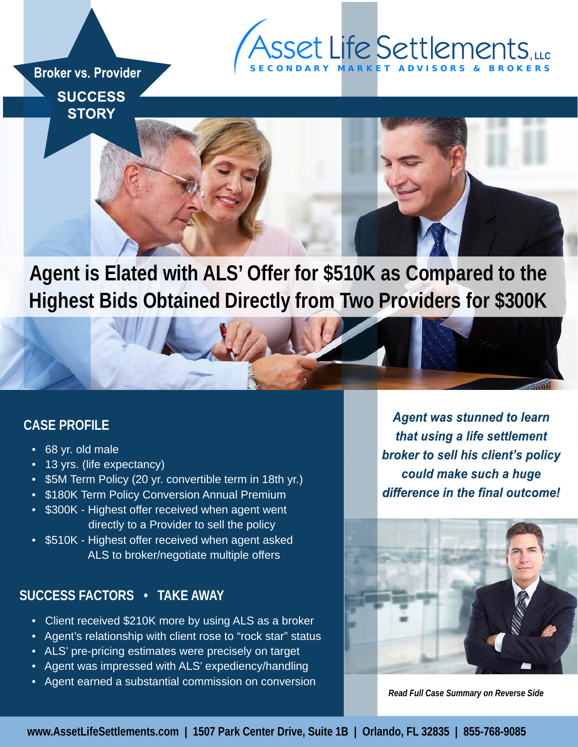# S E C O N D A R Y M A R K E T A D V I S O R S & B R O K E R S **, LLC**

**Broker vs. Provider SUCCESS STORY** 



**Agent is Elated with ALS' Offer for \$510K as Compared to the Highest Bids Obtained Directly from Two Providers for \$300K** 

## **CASE PROFILE**

- 68 yr. old male
- 13 yrs. (life expectancy)
- \$5M Term Policy (20 yr. convertible term in 18th yr.)
- \$180K Term Policy Conversion Annual Premium
- \$300K Highest offer received when agent went directly to a Provider to sell the policy
- \$510K Highest offer received when agent asked ALS to broker/negotiate multiple offers

### **SUCCESS FACTORS • TAKE AWAY**

- Client received \$210K more by using ALS as a broker
- Agent's relationship with client rose to "rock star" status
- ALS' pre-pricing estimates were precisely on target
- Agent was impressed with ALS' expediency/handling
- Agent earned a substantial commission on conversion

**Agent was stunned to learn** that using a life settlement broker to sell his client's policy could make such a huge difference in the final outcome!



*Read Full Case Summary on Reverse Side*